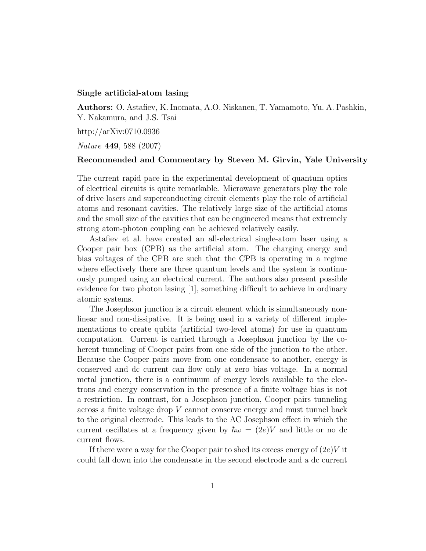## Single artificial-atom lasing

Authors: O. Astafiev, K. Inomata, A.O. Niskanen, T. Yamamoto, Yu. A. Pashkin, Y. Nakamura, and J.S. Tsai

http://arXiv:0710.0936

Nature 449, 588 (2007)

## Recommended and Commentary by Steven M. Girvin, Yale University

The current rapid pace in the experimental development of quantum optics of electrical circuits is quite remarkable. Microwave generators play the role of drive lasers and superconducting circuit elements play the role of artificial atoms and resonant cavities. The relatively large size of the artificial atoms and the small size of the cavities that can be engineered means that extremely strong atom-photon coupling can be achieved relatively easily.

Astafiev et al. have created an all-electrical single-atom laser using a Cooper pair box (CPB) as the artificial atom. The charging energy and bias voltages of the CPB are such that the CPB is operating in a regime where effectively there are three quantum levels and the system is continuously pumped using an electrical current. The authors also present possible evidence for two photon lasing [1], something difficult to achieve in ordinary atomic systems.

The Josephson junction is a circuit element which is simultaneously nonlinear and non-dissipative. It is being used in a variety of different implementations to create qubits (artificial two-level atoms) for use in quantum computation. Current is carried through a Josephson junction by the coherent tunneling of Cooper pairs from one side of the junction to the other. Because the Cooper pairs move from one condensate to another, energy is conserved and dc current can flow only at zero bias voltage. In a normal metal junction, there is a continuum of energy levels available to the electrons and energy conservation in the presence of a finite voltage bias is not a restriction. In contrast, for a Josephson junction, Cooper pairs tunneling across a finite voltage drop V cannot conserve energy and must tunnel back to the original electrode. This leads to the AC Josephson effect in which the current oscillates at a frequency given by  $\hbar\omega = (2e)V$  and little or no dc current flows.

If there were a way for the Cooper pair to shed its excess energy of  $(2e)V$  it could fall down into the condensate in the second electrode and a dc current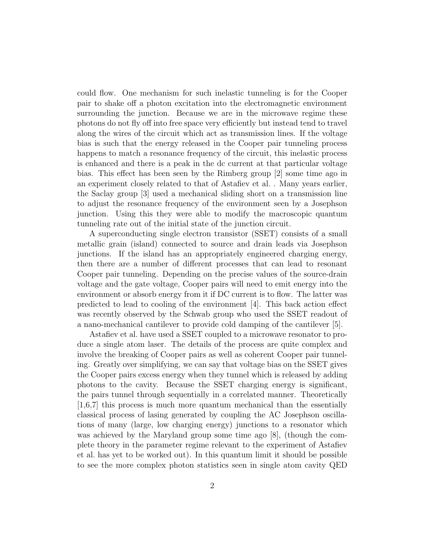could flow. One mechanism for such inelastic tunneling is for the Cooper pair to shake off a photon excitation into the electromagnetic environment surrounding the junction. Because we are in the microwave regime these photons do not fly off into free space very efficiently but instead tend to travel along the wires of the circuit which act as transmission lines. If the voltage bias is such that the energy released in the Cooper pair tunneling process happens to match a resonance frequency of the circuit, this inelastic process is enhanced and there is a peak in the dc current at that particular voltage bias. This effect has been seen by the Rimberg group [2] some time ago in an experiment closely related to that of Astafiev et al. . Many years earlier, the Saclay group [3] used a mechanical sliding short on a transmission line to adjust the resonance frequency of the environment seen by a Josephson junction. Using this they were able to modify the macroscopic quantum tunneling rate out of the initial state of the junction circuit.

A superconducting single electron transistor (SSET) consists of a small metallic grain (island) connected to source and drain leads via Josephson junctions. If the island has an appropriately engineered charging energy, then there are a number of different processes that can lead to resonant Cooper pair tunneling. Depending on the precise values of the source-drain voltage and the gate voltage, Cooper pairs will need to emit energy into the environment or absorb energy from it if DC current is to flow. The latter was predicted to lead to cooling of the environment [4]. This back action effect was recently observed by the Schwab group who used the SSET readout of a nano-mechanical cantilever to provide cold damping of the cantilever [5].

Astafiev et al. have used a SSET coupled to a microwave resonator to produce a single atom laser. The details of the process are quite complex and involve the breaking of Cooper pairs as well as coherent Cooper pair tunneling. Greatly over simplifying, we can say that voltage bias on the SSET gives the Cooper pairs excess energy when they tunnel which is released by adding photons to the cavity. Because the SSET charging energy is significant, the pairs tunnel through sequentially in a correlated manner. Theoretically [1,6,7] this process is much more quantum mechanical than the essentially classical process of lasing generated by coupling the AC Josephson oscillations of many (large, low charging energy) junctions to a resonator which was achieved by the Maryland group some time ago [8], (though the complete theory in the parameter regime relevant to the experiment of Astafiev et al. has yet to be worked out). In this quantum limit it should be possible to see the more complex photon statistics seen in single atom cavity QED